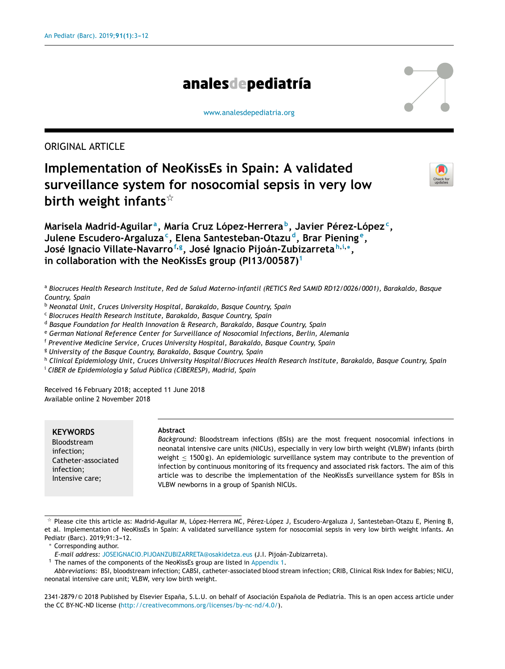# analesdepediatría

[www.analesdepediatria.org](http://www.analesdepediatria.org)

ORIGINAL ARTICLE

# **Implementation of NeoKissEs in Spain: A validated surveillance system for nosocomial sepsis in very low birth weight infants**-



**Marisela Madrid-Aguilar <sup>a</sup> , María Cruz López-Herrera <sup>b</sup> , Javier Pérez-López<sup>c</sup> , Julene Escudero-Argaluza<sup>c</sup> , Elena Santesteban-Otazu<sup>d</sup> , Brar Piening <sup>e</sup> , José Ignacio Villate-Navarro<sup>f</sup>**,**<sup>g</sup> , José Ignacio Pijoán-Zubizarreta <sup>h</sup>**,**i**,<sup>∗</sup> **, in collaboration with the NeoKissEs group (PI13/00587)<sup>1</sup>**

<sup>a</sup> *Biocruces Health Research Institute, Red de Salud Materno-infantil (RETICS Red SAMID RD12/0026/0001), Barakaldo, Basque Country, Spain*

<sup>b</sup> *Neonatal Unit, Cruces University Hospital, Barakaldo, Basque Country, Spain*

<sup>c</sup> *Biocruces Health Research Institute, Barakaldo, Basque Country, Spain*

<sup>d</sup> *Basque Foundation for Health Innovation & Research, Barakaldo, Basque Country, Spain*

<sup>e</sup> *German National Reference Center for Surveillance of Nosocomial Infections, Berlin, Alemania*

<sup>f</sup> *Preventive Medicine Service, Cruces University Hospital, Barakaldo, Basque Country, Spain*

<sup>g</sup> *University of the Basque Country, Barakaldo, Basque Country, Spain*

<sup>h</sup> *Clinical Epidemiology Unit, Cruces University Hospital/Biocruces Health Research Institute, Barakaldo, Basque Country, Spain*

<sup>i</sup> *CIBER de Epidemiología y Salud Pública (CIBERESP), Madrid, Spain*

Received 16 February 2018; accepted 11 June 2018 Available online 2 November 2018

**KEYWORDS** Bloodstream infection; Catheter-associated infection; Intensive care;

## **Abstract**

*Background:* Bloodstream infections (BSIs) are the most frequent nosocomial infections in neonatal intensive care units (NICUs), especially in very low birth weight (VLBW) infants (birth weight  $\leq$  1500 g). An epidemiologic surveillance system may contribute to the prevention of infection by continuous monitoring of its frequency and associated risk factors. The aim of this article was to describe the implementation of the NeoKissEs surveillance system for BSIs in VLBW newborns in a group of Spanish NICUs.

<sup>∗</sup> Corresponding author.

2341-2879/© 2018 Published by Elsevier España, S.L.U. on behalf of Asociación Española de Pediatría. This is an open access article under the CC BY-NC-ND license ([http://creativecommons.org/licenses/by-nc-nd/4.0/\)](http://creativecommons.org/licenses/by-nc-nd/4.0/).

 $\frac{1}{24}$  Please cite this article as: Madrid-Aguilar M, López-Herrera MC, Pérez-López J, Escudero-Argaluza J, Santesteban-Otazu E, Piening B, et al. Implementation of NeoKissEs in Spain: A validated surveillance system for nosocomial sepsis in very low birth weight infants. An Pediatr (Barc). 2019;91:3-12.

*E-mail address:* [JOSEIGNACIO.PIJOANZUBIZARRETA@osakidetza.eus](mailto:JOSEIGNACIO.PIJOANZUBIZARRETA@osakidetza.eus) (J.I. Pijoán-Zubizarreta).

<sup>&</sup>lt;sup>1</sup> The names of the components of the NeoKissEs group are listed in [Appendix](#page-8-0) [1.](#page-8-0)

*Abbreviations:* BSI, bloodstream infection; CABSI, catheter-associated blood stream infection; CRIB, Clinical Risk Index for Babies; NICU, neonatal intensive care unit; VLBW, very low birth weight.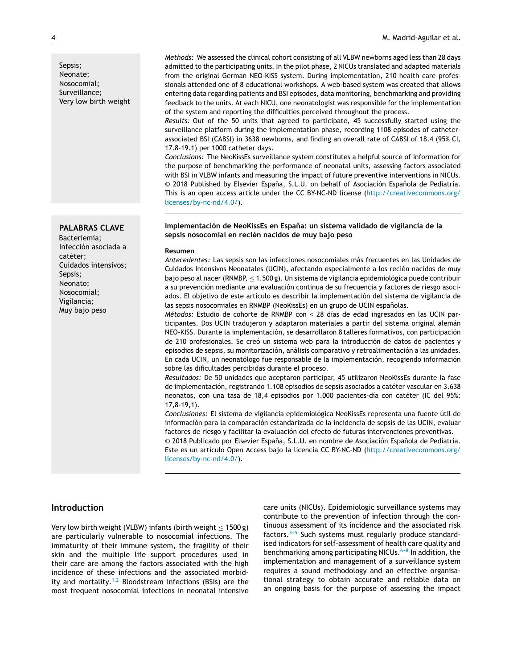Sepsis; Neonate; Nosocomial; Surveillance; Very low birth weight

## **PALABRAS CLAVE**

Bacteriemia; Infección asociada a catéter; Cuidados intensivos; Sepsis; Neonato; Nosocomial; Vigilancia; Muy bajo peso

*Methods:* We assessed the clinical cohort consisting of all VLBW newborns aged less than 28 days admitted to the participating units. In the pilot phase, 2 NICUs translated and adapted materials from the original German NEO-KISS system. During implementation, 210 health care professionals attended one of 8 educational workshops. A web-based system was created that allows entering data regarding patients and BSI episodes, data monitoring, benchmarking and providing feedback to the units. At each NICU, one neonatologist was responsible for the implementation of the system and reporting the difficulties perceived throughout the process.

*Results:* Out of the 50 units that agreed to participate, 45 successfully started using the surveillance platform during the implementation phase, recording 1108 episodes of catheterassociated BSI (CABSI) in 3638 newborns, and finding an overall rate of CABSI of 18.4 (95% CI, 17.8-19.1) per 1000 catheter days.

*Conclusions:* The NeoKissEs surveillance system constitutes a helpful source of information for the purpose of benchmarking the performance of neonatal units, assessing factors associated with BSI in VLBW infants and measuring the impact of future preventive interventions in NICUs. © 2018 Published by Elsevier España, S.L.U. on behalf of Asociación Española de Pediatría. This is an open access article under the CC BY-NC-ND license [\(http://creativecommons.org/](http://creativecommons.org/licenses/by-nc-nd/4.0/) [licenses/by-nc-nd/4.0/\)](http://creativecommons.org/licenses/by-nc-nd/4.0/).

## **Implementación de NeoKissEs en Espana: ˜ un sistema validado de vigilancia de la sepsis nosocomial en recién nacidos de muy bajo peso**

#### **Resumen**

*Antecedentes:* Las sepsis son las infecciones nosocomiales más frecuentes en las Unidades de Cuidados Intensivos Neonatales (UCIN), afectando especialmente a los recién nacidos de muy bajo peso al nacer (RNMBP,  $\leq 1.500$  g). Un sistema de vigilancia epidemiológica puede contribuir a su prevención mediante una evaluación continua de su frecuencia y factores de riesgo asociados. El objetivo de este artículo es describir la implementación del sistema de vigilancia de las sepsis nosocomiales en RNMBP (NeoKissEs) en un grupo de UCIN españolas.

*Métodos:* Estudio de cohorte de RNMBP con < 28 días de edad ingresados en las UCIN participantes. Dos UCIN tradujeron y adaptaron materiales a partir del sistema original alemán NEO-KISS. Durante la implementación, se desarrollaron 8 talleres formativos, con participación de 210 profesionales. Se creó un sistema web para la introducción de datos de pacientes y episodios de sepsis, su monitorización, análisis comparativo y retroalimentación a las unidades. En cada UCIN, un neonatólogo fue responsable de la implementación, recogiendo información sobre las dificultades percibidas durante el proceso.

*Resultados:* De 50 unidades que aceptaron participar, 45 utilizaron NeoKissEs durante la fase de implementación, registrando 1.108 episodios de sepsis asociados a catéter vascular en 3.638 neonatos, con una tasa de 18,4 episodios por 1.000 pacientes-día con catéter (IC del 95%: 17,8-19,1).

*Conclusiones:* El sistema de vigilancia epidemiológica NeoKissEs representa una fuente útil de información para la comparación estandarizada de la incidencia de sepsis de las UCIN, evaluar factores de riesgo y facilitar la evaluación del efecto de futuras intervenciones preventivas.

© 2018 Publicado por Elsevier España, S.L.U. en nombre de Asociación Española de Pediatría. Este es un artículo Open Access bajo la licencia CC BY-NC-ND [\(http://creativecommons.org/](http://creativecommons.org/licenses/by-nc-nd/4.0/) [licenses/by-nc-nd/4.0/\)](http://creativecommons.org/licenses/by-nc-nd/4.0/).

# **Introduction**

Very low birth weight (VLBW) infants (birth weight  $\leq$  1500 g) are particularly vulnerable to nosocomial infections. The immaturity of their immune system, the fragility of their skin and the multiple life support procedures used in their care are among the factors associated with the high incidence of these infections and the associated morbid-ity and mortality.<sup>[1,2](#page-8-0)</sup> Bloodstream infections (BSIs) are the most frequent nosocomial infections in neonatal intensive care units (NICUs). Epidemiologic surveillance systems may contribute to the prevention of infection through the continuous assessment of its incidence and the associated risk factors. $3-5$  Such systems must regularly produce standardised indicators for self-assessment of health care quality and benchmarking among participating NICUs.<sup>6-8</sup> In addition, the implementation and management of a surveillance system requires a sound methodology and an effective organisational strategy to obtain accurate and reliable data on an ongoing basis for the purpose of assessing the impact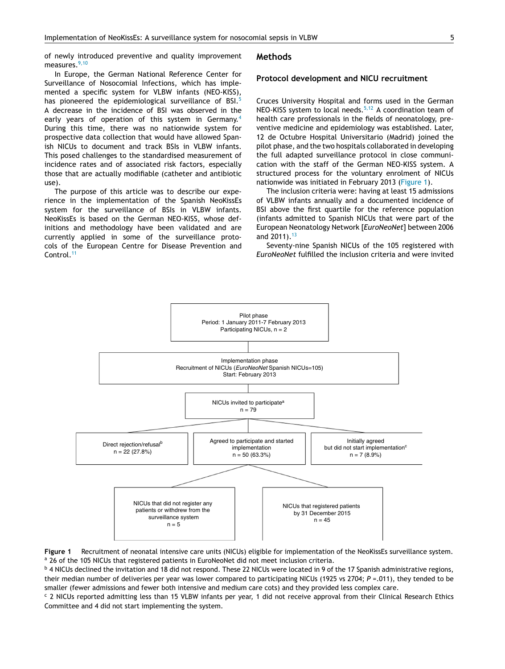<span id="page-2-0"></span>of newly introduced preventive and quality improvement measures.[9,10](#page-8-0)

## In Europe, the German National Reference Center for Surveillance of Nosocomial Infections, which has implemented a specific system for VLBW infants (NEO-KISS), has pioneered the epidemiological surveillance of BSI.<sup>[5](#page-8-0)</sup> A decrease in the incidence of BSI was observed in the early years of operation of this system in Germany.<sup>[4](#page-8-0)</sup> During this time, there was no nationwide system for prospective data collection that would have allowed Spanish NICUs to document and track BSIs in VLBW infants. This posed challenges to the standardised measurement of incidence rates and of associated risk factors, especially those that are actually modifiable (catheter and antibiotic use).

The purpose of this article was to describe our experience in the implementation of the Spanish NeoKissEs system for the surveillance of BSIs in VLBW infants. NeoKissEs is based on the German NEO-KISS, whose definitions and methodology have been validated and are currently applied in some of the surveillance protocols of the European Centre for Disease Prevention and Control.<sup>[11](#page-8-0)</sup>

## **Methods**

## **Protocol development and NICU recruitment**

Cruces University Hospital and forms used in the German NEO-KISS system to local needs.<sup>[5,12](#page-8-0)</sup> A coordination team of health care professionals in the fields of neonatology, preventive medicine and epidemiology was established. Later, 12 de Octubre Hospital Universitario (Madrid) joined the pilot phase, and the two hospitals collaborated in developing the full adapted surveillance protocol in close communication with the staff of the German NEO-KISS system. A structured process for the voluntary enrolment of NICUs nationwide was initiated in February 2013 (Figure 1).

The inclusion criteria were: having at least 15 admissions of VLBW infants annually and a documented incidence of BSI above the first quartile for the reference population (infants admitted to Spanish NICUs that were part of the European Neonatology Network [*EuroNeoNet*] between 2006 and  $2011$ ).  $13$ 

Seventy-nine Spanish NICUs of the 105 registered with *EuroNeoNet* fulfilled the inclusion criteria and were invited



**Figure 1** Recruitment of neonatal intensive care units (NICUs) eligible for implementation of the NeoKissEs surveillance system. <sup>a</sup> 26 of the 105 NICUs that registered patients in EuroNeoNet did not meet inclusion criteria.

b 4 NICUs declined the invitation and 18 did not respond. These 22 NICUs were located in 9 of the 17 Spanish administrative regions, their median number of deliveries per year was lower compared to participating NICUs (1925 vs 2704; *P* =.011), they tended to be smaller (fewer admissions and fewer both intensive and medium care cots) and they provided less complex care.

<sup>c</sup> 2 NICUs reported admitting less than 15 VLBW infants per year, 1 did not receive approval from their Clinical Research Ethics Committee and 4 did not start implementing the system.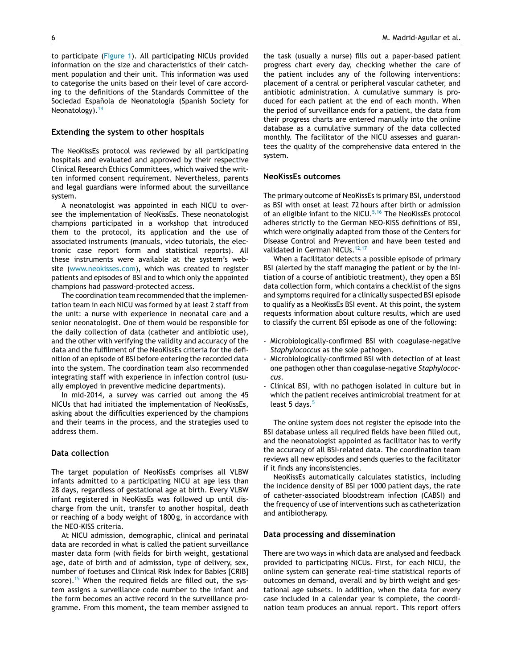to participate ([Figure](#page-2-0) 1). All participating NICUs provided information on the size and characteristics of their catchment population and their unit. This information was used to categorise the units based on their level of care according to the definitions of the Standards Committee of the Sociedad Española de Neonatología (Spanish Society for Neonatology).<sup>[14](#page-8-0)</sup>

### **Extending the system to other hospitals**

The NeoKissEs protocol was reviewed by all participating hospitals and evaluated and approved by their respective Clinical Research Ethics Committees, which waived the written informed consent requirement. Nevertheless, parents and legal guardians were informed about the surveillance system.

A neonatologist was appointed in each NICU to oversee the implementation of NeoKissEs. These neonatologist champions participated in a workshop that introduced them to the protocol, its application and the use of associated instruments (manuals, video tutorials, the electronic case report form and statistical reports). All these instruments were available at the system's website [\(www.neokisses.com\)](http://www.neokisses.com/), which was created to register patients and episodes of BSI and to which only the appointed champions had password-protected access.

The coordination team recommended that the implementation team in each NICU was formed by at least 2 staff from the unit: a nurse with experience in neonatal care and a senior neonatologist. One of them would be responsible for the daily collection of data (catheter and antibiotic use), and the other with verifying the validity and accuracy of the data and the fulfilment of the NeoKissEs criteria for the definition of an episode of BSI before entering the recorded data into the system. The coordination team also recommended integrating staff with experience in infection control (usually employed in preventive medicine departments).

In mid-2014, a survey was carried out among the 45 NICUs that had initiated the implementation of NeoKissEs, asking about the difficulties experienced by the champions and their teams in the process, and the strategies used to address them.

## **Data collection**

The target population of NeoKissEs comprises all VLBW infants admitted to a participating NICU at age less than 28 days, regardless of gestational age at birth. Every VLBW infant registered in NeoKissEs was followed up until discharge from the unit, transfer to another hospital, death or reaching of a body weight of 1800 g, in accordance with the NEO-KISS criteria.

At NICU admission, demographic, clinical and perinatal data are recorded in what is called the patient surveillance master data form (with fields for birth weight, gestational age, date of birth and of admission, type of delivery, sex, number of foetuses and Clinical Risk Index for Babies [CRIB] score).<sup>[15](#page-8-0)</sup> When the required fields are filled out, the system assigns a surveillance code number to the infant and the form becomes an active record in the surveillance programme. From this moment, the team member assigned to the task (usually a nurse) fills out a paper-based patient progress chart every day, checking whether the care of the patient includes any of the following interventions: placement of a central or peripheral vascular catheter, and antibiotic administration. A cumulative summary is produced for each patient at the end of each month. When the period of surveillance ends for a patient, the data from their progress charts are entered manually into the online database as a cumulative summary of the data collected monthly. The facilitator of the NICU assesses and guarantees the quality of the comprehensive data entered in the system.

#### **NeoKissEs outcomes**

The primary outcome of NeoKissEs is primary BSI, understood as BSI with onset at least 72 hours after birth or admission of an eligible infant to the NICU.<sup>[5,16](#page-8-0)</sup> The NeoKissEs protocol adheres strictly to the German NEO-KISS definitions of BSI, which were originally adapted from those of the Centers for Disease Control and Prevention and have been tested and validated in German NICUs.<sup>[12,17](#page-8-0)</sup>

When a facilitator detects a possible episode of primary BSI (alerted by the staff managing the patient or by the initiation of a course of antibiotic treatment), they open a BSI data collection form, which contains a checklist of the signs and symptoms required for a clinically suspected BSI episode to qualify as a NeoKissEs BSI event. At this point, the system requests information about culture results, which are used to classify the current BSI episode as one of the following:

- Microbiologically-confirmed BSI with coagulase-negative *Staphylococcus* as the sole pathogen.
- Microbiologically-confirmed BSI with detection of at least one pathogen other than coagulase-negative *Staphylococcus*.
- Clinical BSI, with no pathogen isolated in culture but in which the patient receives antimicrobial treatment for at least  $5$  days. $<sup>5</sup>$ </sup>

The online system does not register the episode into the BSI database unless all required fields have been filled out, and the neonatologist appointed as facilitator has to verify the accuracy of all BSI-related data. The coordination team reviews all new episodes and sends queries to the facilitator if it finds any inconsistencies.

NeoKissEs automatically calculates statistics, including the incidence density of BSI per 1000 patient days, the rate of catheter-associated bloodstream infection (CABSI) and the frequency of use of interventions such as catheterization and antibiotherapy.

#### **Data processing and dissemination**

There are two ways in which data are analysed and feedback provided to participating NICUs. First, for each NICU, the online system can generate real-time statistical reports of outcomes on demand, overall and by birth weight and gestational age subsets. In addition, when the data for every case included in a calendar year is complete, the coordination team produces an annual report. This report offers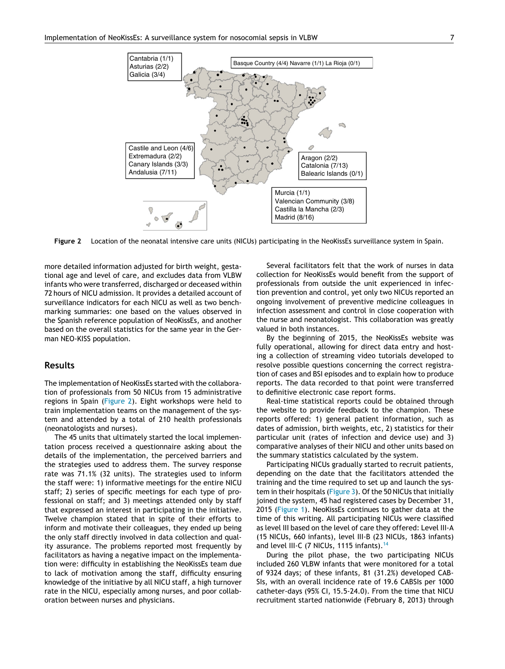

**Figure 2** Location of the neonatal intensive care units (NICUs) participating in the NeoKissEs surveillance system in Spain.

more detailed information adjusted for birth weight, gestational age and level of care, and excludes data from VLBW infants who were transferred, discharged or deceased within 72 hours of NICU admission. It provides a detailed account of surveillance indicators for each NICU as well as two benchmarking summaries: one based on the values observed in the Spanish reference population of NeoKissEs, and another based on the overall statistics for the same year in the German NEO-KISS population.

## **Results**

The implementation of NeoKissEs started with the collaboration of professionals from 50 NICUs from 15 administrative regions in Spain (Figure 2). Eight workshops were held to train implementation teams on the management of the system and attended by a total of 210 health professionals (neonatologists and nurses).

The 45 units that ultimately started the local implementation process received a questionnaire asking about the details of the implementation, the perceived barriers and the strategies used to address them. The survey response rate was 71.1% (32 units). The strategies used to inform the staff were: 1) informative meetings for the entire NICU staff; 2) series of specific meetings for each type of professional on staff; and 3) meetings attended only by staff that expressed an interest in participating in the initiative. Twelve champion stated that in spite of their efforts to inform and motivate their colleagues, they ended up being the only staff directly involved in data collection and quality assurance. The problems reported most frequently by facilitators as having a negative impact on the implementation were: difficulty in establishing the NeoKissEs team due to lack of motivation among the staff, difficulty ensuring knowledge of the initiative by all NICU staff, a high turnover rate in the NICU, especially among nurses, and poor collaboration between nurses and physicians.

Several facilitators felt that the work of nurses in data collection for NeoKissEs would benefit from the support of professionals from outside the unit experienced in infection prevention and control, yet only two NICUs reported an ongoing involvement of preventive medicine colleagues in infection assessment and control in close cooperation with the nurse and neonatologist. This collaboration was greatly valued in both instances.

By the beginning of 2015, the NeoKissEs website was fully operational, allowing for direct data entry and hosting a collection of streaming video tutorials developed to resolve possible questions concerning the correct registration of cases and BSI episodes and to explain how to produce reports. The data recorded to that point were transferred to definitive electronic case report forms.

Real-time statistical reports could be obtained through the website to provide feedback to the champion. These reports offered: 1) general patient information, such as dates of admission, birth weights, etc, 2) statistics for their particular unit (rates of infection and device use) and 3) comparative analyses of their NICU and other units based on the summary statistics calculated by the system.

Participating NICUs gradually started to recruit patients, depending on the date that the facilitators attended the training and the time required to set up and launch the sys-tem in their hospitals ([Figure](#page-5-0) 3). Of the 50 NICUs that initially joined the system, 45 had registered cases by December 31, 2015 ([Figure](#page-2-0) 1). NeoKissEs continues to gather data at the time of this writing. All participating NICUs were classified as level III based on the level of care they offered: Level III-A (15 NICUs, 660 infants), level III-B (23 NICUs, 1863 infants) and level III-C (7 NICUs, 1115 infants).<sup>[14](#page-8-0)</sup>

During the pilot phase, the two participating NICUs included 260 VLBW infants that were monitored for a total of 9324 days; of these infants, 81 (31.2%) developed CAB-SIs, with an overall incidence rate of 19.6 CABSIs per 1000 catheter-days (95% CI, 15.5-24.0). From the time that NICU recruitment started nationwide (February 8, 2013) through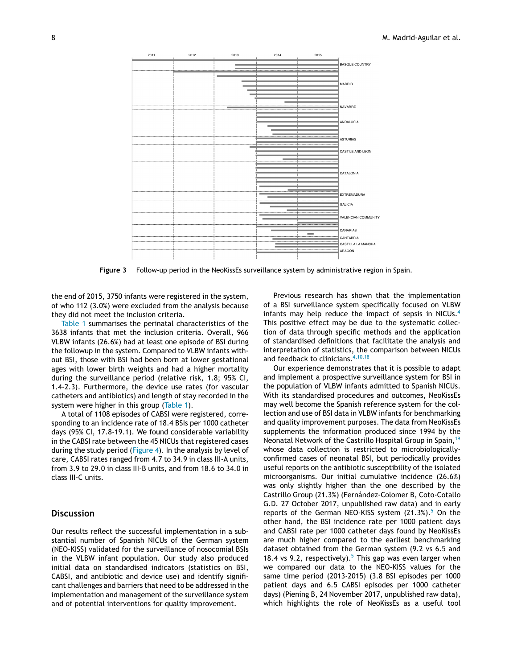<span id="page-5-0"></span>

**Figure 3** Follow-up period in the NeoKissEs surveillance system by administrative region in Spain.

the end of 2015, 3750 infants were registered in the system, of who 112 (3.0%) were excluded from the analysis because they did not meet the inclusion criteria.

[Table](#page-6-0) 1 summarises the perinatal characteristics of the 3638 infants that met the inclusion criteria. Overall, 966 VLBW infants (26.6%) had at least one episode of BSI during the followup in the system. Compared to VLBW infants without BSI, those with BSI had been born at lower gestational ages with lower birth weights and had a higher mortality during the surveillance period (relative risk, 1.8; 95% CI, 1.4-2.3). Furthermore, the device use rates (for vascular catheters and antibiotics) and length of stay recorded in the system were higher in this group ([Table](#page-6-0) 1).

A total of 1108 episodes of CABSI were registered, corresponding to an incidence rate of 18.4 BSIs per 1000 catheter days (95% CI, 17.8-19.1). We found considerable variability in the CABSI rate between the 45 NICUs that registered cases during the study period [\(Figure](#page-6-0) 4). In the analysis by level of care, CABSI rates ranged from 4.7 to 34.9 in class III-A units, from 3.9 to 29.0 in class III-B units, and from 18.6 to 34.0 in class III-C units.

# **Discussion**

Our results reflect the successful implementation in a substantial number of Spanish NICUs of the German system (NEO-KISS) validated for the surveillance of nosocomial BSIs in the VLBW infant population. Our study also produced initial data on standardised indicators (statistics on BSI, CABSI, and antibiotic and device use) and identify significant challenges and barriers that need to be addressed in the implementation and management of the surveillance system and of potential interventions for quality improvement.

Previous research has shown that the implementation of a BSI surveillance system specifically focused on VLBW infants may help reduce the impact of sepsis in NICUs.<sup>[4](#page-8-0)</sup> This positive effect may be due to the systematic collection of data through specific methods and the application of standardised definitions that facilitate the analysis and interpretation of statistics, the comparison between NICUs and feedback to clinicians. [4,10,18](#page-8-0)

Our experience demonstrates that it is possible to adapt and implement a prospective surveillance system for BSI in the population of VLBW infants admitted to Spanish NICUs. With its standardised procedures and outcomes, NeoKissEs may well become the Spanish reference system for the collection and use of BSI data in VLBW infants for benchmarking and quality improvement purposes. The data from NeoKissEs supplements the information produced since 1994 by the Neonatal Network of the Castrillo Hospital Group in Spain,[19](#page-9-0) whose data collection is restricted to microbiologicallyconfirmed cases of neonatal BSI, but periodically provides useful reports on the antibiotic susceptibility of the isolated microorganisms. Our initial cumulative incidence (26.6%) was only slightly higher than the one described by the Castrillo Group (21.3%) (Fernández-Colomer B, Coto-Cotallo G.D. 27 October 2017, unpublished raw data) and in early reports of the German NEO-KISS system  $(21.3\%)$ .<sup>[5](#page-8-0)</sup> On the other hand, the BSI incidence rate per 1000 patient days and CABSI rate per 1000 catheter days found by NeoKissEs are much higher compared to the earliest benchmarking dataset obtained from the German system (9.2 vs 6.5 and 18.4 vs 9.2, respectively).<sup>[5](#page-8-0)</sup> This gap was even larger when we compared our data to the NEO-KISS values for the same time period (2013-2015) (3.8 BSI episodes per 1000 patient days and 6.5 CABSI episodes per 1000 catheter days) (Piening B, 24 November 2017, unpublished raw data), which highlights the role of NeoKissEs as a useful tool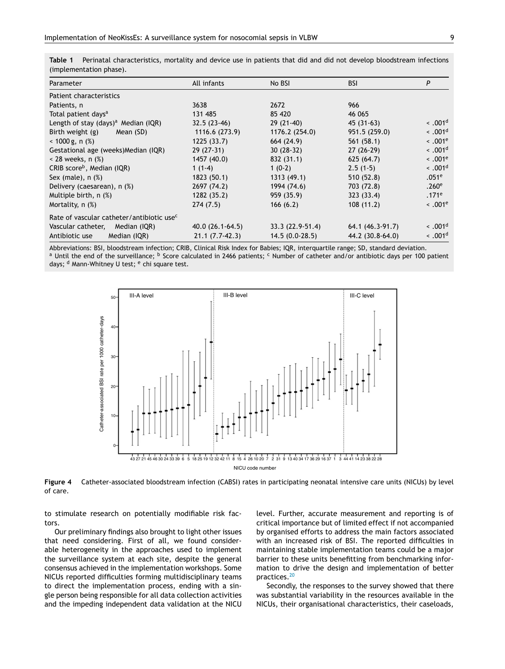<span id="page-6-0"></span>**Table 1** Perinatal characteristics, mortality and device use in patients that did and did not develop bloodstream infections (implementation phase).

| Parameter                                             | All infants         | No BSI            | <b>BSI</b>       | P                        |
|-------------------------------------------------------|---------------------|-------------------|------------------|--------------------------|
| <b>Patient characteristics</b>                        |                     |                   |                  |                          |
| Patients, n                                           | 3638                | 2672              | 966              |                          |
| Total patient days <sup>a</sup>                       | 131 485             | 85 420            | 46 065           |                          |
| Length of stay (days) <sup>a</sup> Median (IQR)       | $32.5(23-46)$       | $29(21-40)$       | $45(31-63)$      | $\leq .001^d$            |
| Birth weight (g)<br>Mean (SD)                         | 1116.6 (273.9)      | 1176.2 (254.0)    | 951.5 (259.0)    | $\leq .001^d$            |
| $< 1000$ g, n $(\%)$                                  | 1225(33.7)          | 664(24.9)         | 561 (58.1)       | $\leq .001$ <sup>e</sup> |
| Gestational age (weeks) Median (IQR)                  | $29(27-31)$         | $30(28-32)$       | 27 (26-29)       | $\sim .001^d$            |
| $\leq$ 28 weeks, n $(\%)$                             | 1457 (40.0)         | 832 (31.1)        | 625(64.7)        | $\leq .001$ <sup>e</sup> |
| CRIB score <sup>b</sup> , Median (IQR)                | $1(1-4)$            | $1(0-2)$          | $2.5(1-5)$       | $\leq .001^d$            |
| Sex (male), $n$ $(\%)$                                | 1823 (50.1)         | 1313 (49.1)       | 510 (52.8)       | .051 <sup>e</sup>        |
| Delivery (caesarean), n (%)                           | 2697 (74.2)         | 1994 (74.6)       | 703 (72.8)       | $.260^\mathrm{e}$ .      |
| Multiple birth, n (%)                                 | 1282 (35.2)         | 959 (35.9)        | 323 (33.4)       | $.171$ <sup>e</sup>      |
| Mortality, $n$ $(\%)$                                 | 274(7.5)            | 166(6.2)          | 108(11.2)        | $\leq .001$ <sup>e</sup> |
| Rate of vascular catheter/antibiotic use <sup>c</sup> |                     |                   |                  |                          |
| Vascular catheter, Median (IQR)                       | $40.0(26.1-64.5)$   | $33.3(22.9-51.4)$ | 64.1 (46.3-91.7) | $\sim .001$ <sup>d</sup> |
| Antibiotic use<br>Median (IQR)                        | $21.1 (7.7 - 42.3)$ | $14.5(0.0-28.5)$  | 44.2 (30.8-64.0) | $\sim .001$ <sup>d</sup> |

Abbreviations: BSI, bloodstream infection; CRIB, Clinical Risk Index for Babies; IQR, interquartile range; SD, standard deviation.

<sup>a</sup> Until the end of the surveillance; <sup>b</sup> Score calculated in 2466 patients; <sup>c</sup> Number of catheter and/or antibiotic days per 100 patient days; <sup>d</sup> Mann-Whitney U test; e chi square test.



**Figure 4** Catheter-associated bloodstream infection (CABSI) rates in participating neonatal intensive care units (NICUs) by level of care.

to stimulate research on potentially modifiable risk factors.

Our preliminary findings also brought to light other issues that need considering. First of all, we found considerable heterogeneity in the approaches used to implement the surveillance system at each site, despite the general consensus achieved in the implementation workshops. Some NICUs reported difficulties forming multidisciplinary teams to direct the implementation process, ending with a single person being responsible for all data collection activities and the impeding independent data validation at the NICU level. Further, accurate measurement and reporting is of critical importance but of limited effect if not accompanied by organised efforts to address the main factors associated with an increased risk of BSI. The reported difficulties in maintaining stable implementation teams could be a major barrier to these units benefitting from benchmarking information to drive the design and implementation of better practices.[20](#page-9-0)

Secondly, the responses to the survey showed that there was substantial variability in the resources available in the NICUs, their organisational characteristics, their caseloads,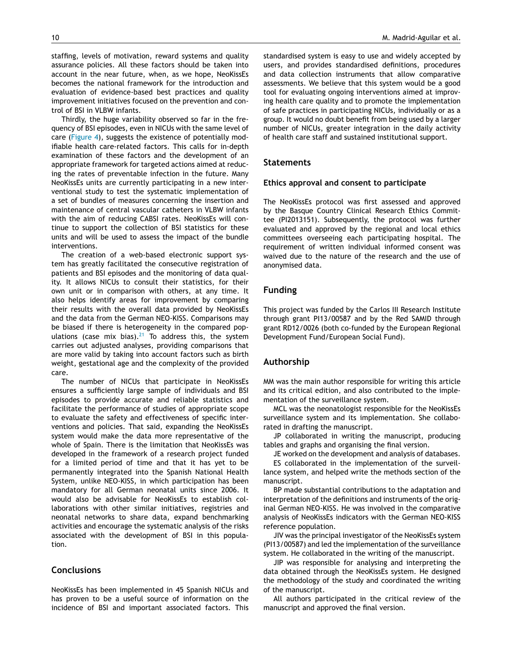staffing, levels of motivation, reward systems and quality assurance policies. All these factors should be taken into account in the near future, when, as we hope, NeoKissEs becomes the national framework for the introduction and evaluation of evidence-based best practices and quality improvement initiatives focused on the prevention and control of BSI in VLBW infants.

Thirdly, the huge variability observed so far in the frequency of BSI episodes, even in NICUs with the same level of care ([Figure](#page-6-0) 4), suggests the existence of potentially modifiable health care-related factors. This calls for in-depth examination of these factors and the development of an appropriate framework for targeted actions aimed at reducing the rates of preventable infection in the future. Many NeoKissEs units are currently participating in a new interventional study to test the systematic implementation of a set of bundles of measures concerning the insertion and maintenance of central vascular catheters in VLBW infants with the aim of reducing CABSI rates. NeoKissEs will continue to support the collection of BSI statistics for these units and will be used to assess the impact of the bundle interventions.

The creation of a web-based electronic support system has greatly facilitated the consecutive registration of patients and BSI episodes and the monitoring of data quality. It allows NICUs to consult their statistics, for their own unit or in comparison with others, at any time. It also helps identify areas for improvement by comparing their results with the overall data provided by NeoKissEs and the data from the German NEO-KISS. Comparisons may be biased if there is heterogeneity in the compared pop-ulations (case mix bias).<sup>[21](#page-9-0)</sup> To address this, the system carries out adjusted analyses, providing comparisons that are more valid by taking into account factors such as birth weight, gestational age and the complexity of the provided care.

The number of NICUs that participate in NeoKissEs ensures a sufficiently large sample of individuals and BSI episodes to provide accurate and reliable statistics and facilitate the performance of studies of appropriate scope to evaluate the safety and effectiveness of specific interventions and policies. That said, expanding the NeoKissEs system would make the data more representative of the whole of Spain. There is the limitation that NeoKissEs was developed in the framework of a research project funded for a limited period of time and that it has yet to be permanently integrated into the Spanish National Health System, unlike NEO-KISS, in which participation has been mandatory for all German neonatal units since 2006. It would also be advisable for NeoKissEs to establish collaborations with other similar initiatives, registries and neonatal networks to share data, expand benchmarking activities and encourage the systematic analysis of the risks associated with the development of BSI in this population.

# **Conclusions**

NeoKissEs has been implemented in 45 Spanish NICUs and has proven to be a useful source of information on the incidence of BSI and important associated factors. This

standardised system is easy to use and widely accepted by users, and provides standardised definitions, procedures and data collection instruments that allow comparative assessments. We believe that this system would be a good tool for evaluating ongoing interventions aimed at improving health care quality and to promote the implementation of safe practices in participating NICUs, individually or as a group. It would no doubt benefit from being used by a larger number of NICUs, greater integration in the daily activity of health care staff and sustained institutional support.

## **Statements**

## **Ethics approval and consent to participate**

The NeoKissEs protocol was first assessed and approved by the Basque Country Clinical Research Ethics Committee (PI2013151). Subsequently, the protocol was further evaluated and approved by the regional and local ethics committees overseeing each participating hospital. The requirement of written individual informed consent was waived due to the nature of the research and the use of anonymised data.

## **Funding**

This project was funded by the Carlos III Research Institute through grant PI13/00587 and by the Red SAMID through grant RD12/0026 (both co-funded by the European Regional Development Fund/European Social Fund).

## **Authorship**

MM was the main author responsible for writing this article and its critical edition, and also contributed to the implementation of the surveillance system.

MCL was the neonatologist responsible for the NeoKissEs surveillance system and its implementation. She collaborated in drafting the manuscript.

JP collaborated in writing the manuscript, producing tables and graphs and organising the final version.

JE worked on the development and analysis of databases.

ES collaborated in the implementation of the surveillance system, and helped write the methods section of the manuscript.

BP made substantial contributions to the adaptation and interpretation of the definitions and instruments of the original German NEO-KISS. He was involved in the comparative analysis of NeoKissEs indicators with the German NEO-KISS reference population.

JIV was the principal investigator of the NeoKissEs system (PI13/00587) and led the implementation of the surveillance system. He collaborated in the writing of the manuscript.

JIP was responsible for analysing and interpreting the data obtained through the NeoKissEs system. He designed the methodology of the study and coordinated the writing of the manuscript.

All authors participated in the critical review of the manuscript and approved the final version.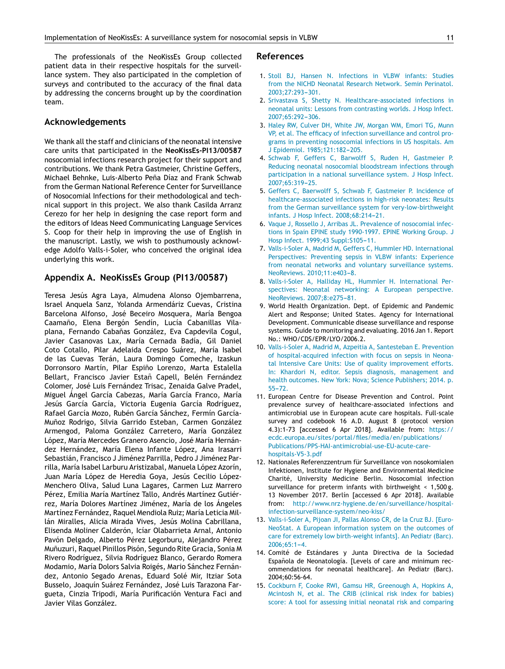<span id="page-8-0"></span>The professionals of the NeoKissEs Group collected patient data in their respective hospitals for the surveillance system. They also participated in the completion of surveys and contributed to the accuracy of the final data by addressing the concerns brought up by the coordination team.

# **Acknowledgements**

We thank all the staff and clinicians of the neonatal intensive care units that participated in the **NeoKissEs-PI13/00587** nosocomial infections research project for their support and contributions. We thank Petra Gastmeier, Christine Geffers, Michael Behnke, Luis-Alberto Peña Díaz and Frank Schwab from the German National Reference Center for Surveillance of Nosocomial Infections for their methodological and technical support in this project. We also thank Casilda Arranz Cerezo for her help in designing the case report form and the editors of Ideas Need Communicating Language Services S. Coop for their help in improving the use of English in the manuscript. Lastly, we wish to posthumously acknowledge Adolfo Valls-i-Soler, who conceived the original idea underlying this work.

# **Appendix A. NeoKissEs Group (PI13/00587)**

Teresa Jesús Agra Laya, Almudena Alonso Ojembarrena, Israel Anquela Sanz, Yolanda Armendáriz Cuevas, Cristina Barcelona Alfonso, José Beceiro Mosquera, María Bengoa Caamaño, Elena Bergón Sendín, Lucía Cabanillas Vilaplana, Fernando Cabañas González, Eva Capdevila Cogul, Javier Casanovas Lax, María Cernada Badía, Gil Daniel Coto Cotallo, Pilar Adelaida Crespo Suárez, María Isabel de las Cuevas Terán, Laura Domingo Comeche, Izaskun Dorronsoro Martín, Pilar Espiño Lorenzo, Marta Estalella Bellart, Francisco Javier Estañ Capell, Belén Fernández Colomer, José Luis Fernández Trisac, Zenaida Galve Pradel, Miguel Ángel García Cabezas, María García Franco, María Jesús García García, Victoria Eugenia García Rodríguez, Rafael García Mozo, Rubén García Sánchez, Fermín García-Muñoz Rodrigo, Silvia Garrido Esteban, Carmen González Armengod, Paloma González Carretero, María González López, María Mercedes Granero Asencio, José María Hernández Hernández, María Elena Infante López, Ana Irasarri Sebastián, Francisco J Jiménez Parrilla, Pedro J Jiménez Parrilla, María Isabel Larburu Aristizabal, Manuela López Azorín, Juan María López de Heredia Goya, Jesús Cecilio López-Menchero Oliva, Salud Luna Lagares, Carmen Luz Marrero Pérez, Emilia María Martínez Tallo, Andrés Martínez Gutiérrez, María Dolores Martínez Jiménez, María de los Ángeles Martínez Fernández, Raquel Mendiola Ruiz; María Leticia Millán Miralles, Alicia Mirada Vives, Jesús Molina Cabrillana, Elisenda Moliner Calderón, Icíar Olabarrieta Arnal, Antonio Pavón Delgado, Alberto Pérez Legorburu, Alejandro Pérez Muñuzuri, Raquel Pinillos Pisón, Segundo Rite Gracia, Sonia M Rivero Rodríguez, Silvia Rodríguez Blanco, Gerardo Romera Modamio, María Dolors Salvia Roigés, Mario Sánchez Fernández, Antonio Segado Arenas, Eduard Solé Mir, Itziar Sota Busselo, Joaquín Suárez Fernández, José Luis Tarazona Fargueta, Cinzia Tripodi, María Purificación Ventura Faci and Javier Vilas González.

#### **References**

- 1. [Stoll](http://refhub.elsevier.com/S2341-2879(18)30167-4/sbref0110) [BJ,](http://refhub.elsevier.com/S2341-2879(18)30167-4/sbref0110) [Hansen](http://refhub.elsevier.com/S2341-2879(18)30167-4/sbref0110) [N.](http://refhub.elsevier.com/S2341-2879(18)30167-4/sbref0110) [Infections](http://refhub.elsevier.com/S2341-2879(18)30167-4/sbref0110) [in](http://refhub.elsevier.com/S2341-2879(18)30167-4/sbref0110) [VLBW](http://refhub.elsevier.com/S2341-2879(18)30167-4/sbref0110) [infants:](http://refhub.elsevier.com/S2341-2879(18)30167-4/sbref0110) [Studies](http://refhub.elsevier.com/S2341-2879(18)30167-4/sbref0110) [from](http://refhub.elsevier.com/S2341-2879(18)30167-4/sbref0110) [the](http://refhub.elsevier.com/S2341-2879(18)30167-4/sbref0110) [NICHD](http://refhub.elsevier.com/S2341-2879(18)30167-4/sbref0110) [Neonatal](http://refhub.elsevier.com/S2341-2879(18)30167-4/sbref0110) [Research](http://refhub.elsevier.com/S2341-2879(18)30167-4/sbref0110) [Network.](http://refhub.elsevier.com/S2341-2879(18)30167-4/sbref0110) [Semin](http://refhub.elsevier.com/S2341-2879(18)30167-4/sbref0110) [Perinatol.](http://refhub.elsevier.com/S2341-2879(18)30167-4/sbref0110) 2003:27:293-301.
- 2. [Srivastava](http://refhub.elsevier.com/S2341-2879(18)30167-4/sbref0115) [S,](http://refhub.elsevier.com/S2341-2879(18)30167-4/sbref0115) [Shetty](http://refhub.elsevier.com/S2341-2879(18)30167-4/sbref0115) [N.](http://refhub.elsevier.com/S2341-2879(18)30167-4/sbref0115) [Healthcare-associated](http://refhub.elsevier.com/S2341-2879(18)30167-4/sbref0115) [infections](http://refhub.elsevier.com/S2341-2879(18)30167-4/sbref0115) [in](http://refhub.elsevier.com/S2341-2879(18)30167-4/sbref0115) [neonatal](http://refhub.elsevier.com/S2341-2879(18)30167-4/sbref0115) [units:](http://refhub.elsevier.com/S2341-2879(18)30167-4/sbref0115) [Lessons](http://refhub.elsevier.com/S2341-2879(18)30167-4/sbref0115) [from](http://refhub.elsevier.com/S2341-2879(18)30167-4/sbref0115) [contrasting](http://refhub.elsevier.com/S2341-2879(18)30167-4/sbref0115) [worlds.](http://refhub.elsevier.com/S2341-2879(18)30167-4/sbref0115) [J](http://refhub.elsevier.com/S2341-2879(18)30167-4/sbref0115) [Hosp](http://refhub.elsevier.com/S2341-2879(18)30167-4/sbref0115) [Infect.](http://refhub.elsevier.com/S2341-2879(18)30167-4/sbref0115) 2007;65:292-306.
- 3. [Haley](http://refhub.elsevier.com/S2341-2879(18)30167-4/sbref0120) [RW,](http://refhub.elsevier.com/S2341-2879(18)30167-4/sbref0120) [Culver](http://refhub.elsevier.com/S2341-2879(18)30167-4/sbref0120) [DH,](http://refhub.elsevier.com/S2341-2879(18)30167-4/sbref0120) [White](http://refhub.elsevier.com/S2341-2879(18)30167-4/sbref0120) [JW,](http://refhub.elsevier.com/S2341-2879(18)30167-4/sbref0120) [Morgan](http://refhub.elsevier.com/S2341-2879(18)30167-4/sbref0120) [WM,](http://refhub.elsevier.com/S2341-2879(18)30167-4/sbref0120) [Emori](http://refhub.elsevier.com/S2341-2879(18)30167-4/sbref0120) [TG,](http://refhub.elsevier.com/S2341-2879(18)30167-4/sbref0120) [Munn](http://refhub.elsevier.com/S2341-2879(18)30167-4/sbref0120) [VP,](http://refhub.elsevier.com/S2341-2879(18)30167-4/sbref0120) [et](http://refhub.elsevier.com/S2341-2879(18)30167-4/sbref0120) [al.](http://refhub.elsevier.com/S2341-2879(18)30167-4/sbref0120) [The](http://refhub.elsevier.com/S2341-2879(18)30167-4/sbref0120) [efficacy](http://refhub.elsevier.com/S2341-2879(18)30167-4/sbref0120) [of](http://refhub.elsevier.com/S2341-2879(18)30167-4/sbref0120) [infection](http://refhub.elsevier.com/S2341-2879(18)30167-4/sbref0120) [surveillance](http://refhub.elsevier.com/S2341-2879(18)30167-4/sbref0120) [and](http://refhub.elsevier.com/S2341-2879(18)30167-4/sbref0120) [control](http://refhub.elsevier.com/S2341-2879(18)30167-4/sbref0120) [pro](http://refhub.elsevier.com/S2341-2879(18)30167-4/sbref0120)[grams](http://refhub.elsevier.com/S2341-2879(18)30167-4/sbref0120) [in](http://refhub.elsevier.com/S2341-2879(18)30167-4/sbref0120) [preventing](http://refhub.elsevier.com/S2341-2879(18)30167-4/sbref0120) [nosocomial](http://refhub.elsevier.com/S2341-2879(18)30167-4/sbref0120) [infections](http://refhub.elsevier.com/S2341-2879(18)30167-4/sbref0120) [in](http://refhub.elsevier.com/S2341-2879(18)30167-4/sbref0120) [US](http://refhub.elsevier.com/S2341-2879(18)30167-4/sbref0120) [hospitals.](http://refhub.elsevier.com/S2341-2879(18)30167-4/sbref0120) [Am](http://refhub.elsevier.com/S2341-2879(18)30167-4/sbref0120) [J](http://refhub.elsevier.com/S2341-2879(18)30167-4/sbref0120) [Epidemiol.](http://refhub.elsevier.com/S2341-2879(18)30167-4/sbref0120) [1985;121:182](http://refhub.elsevier.com/S2341-2879(18)30167-4/sbref0120)[-205.](http://refhub.elsevier.com/S2341-2879(18)30167-4/sbref0120)
- 4. [Schwab](http://refhub.elsevier.com/S2341-2879(18)30167-4/sbref0125) [F,](http://refhub.elsevier.com/S2341-2879(18)30167-4/sbref0125) [Geffers](http://refhub.elsevier.com/S2341-2879(18)30167-4/sbref0125) [C,](http://refhub.elsevier.com/S2341-2879(18)30167-4/sbref0125) [Barwolff](http://refhub.elsevier.com/S2341-2879(18)30167-4/sbref0125) [S,](http://refhub.elsevier.com/S2341-2879(18)30167-4/sbref0125) [Ruden](http://refhub.elsevier.com/S2341-2879(18)30167-4/sbref0125) [H,](http://refhub.elsevier.com/S2341-2879(18)30167-4/sbref0125) [Gastmeier](http://refhub.elsevier.com/S2341-2879(18)30167-4/sbref0125) [P.](http://refhub.elsevier.com/S2341-2879(18)30167-4/sbref0125) [Reducing](http://refhub.elsevier.com/S2341-2879(18)30167-4/sbref0125) [neonatal](http://refhub.elsevier.com/S2341-2879(18)30167-4/sbref0125) [nosocomial](http://refhub.elsevier.com/S2341-2879(18)30167-4/sbref0125) [bloodstream](http://refhub.elsevier.com/S2341-2879(18)30167-4/sbref0125) [infections](http://refhub.elsevier.com/S2341-2879(18)30167-4/sbref0125) [through](http://refhub.elsevier.com/S2341-2879(18)30167-4/sbref0125) [participation](http://refhub.elsevier.com/S2341-2879(18)30167-4/sbref0125) [in](http://refhub.elsevier.com/S2341-2879(18)30167-4/sbref0125) [a](http://refhub.elsevier.com/S2341-2879(18)30167-4/sbref0125) [national](http://refhub.elsevier.com/S2341-2879(18)30167-4/sbref0125) [surveillance](http://refhub.elsevier.com/S2341-2879(18)30167-4/sbref0125) [system.](http://refhub.elsevier.com/S2341-2879(18)30167-4/sbref0125) [J](http://refhub.elsevier.com/S2341-2879(18)30167-4/sbref0125) [Hosp](http://refhub.elsevier.com/S2341-2879(18)30167-4/sbref0125) [Infect.](http://refhub.elsevier.com/S2341-2879(18)30167-4/sbref0125) 2007:65:319[-25.](http://refhub.elsevier.com/S2341-2879(18)30167-4/sbref0125)
- 5. [Geffers](http://refhub.elsevier.com/S2341-2879(18)30167-4/sbref0130) [C,](http://refhub.elsevier.com/S2341-2879(18)30167-4/sbref0130) [Baerwolff](http://refhub.elsevier.com/S2341-2879(18)30167-4/sbref0130) [S,](http://refhub.elsevier.com/S2341-2879(18)30167-4/sbref0130) [Schwab](http://refhub.elsevier.com/S2341-2879(18)30167-4/sbref0130) [F,](http://refhub.elsevier.com/S2341-2879(18)30167-4/sbref0130) [Gastmeier](http://refhub.elsevier.com/S2341-2879(18)30167-4/sbref0130) [P.](http://refhub.elsevier.com/S2341-2879(18)30167-4/sbref0130) [Incidence](http://refhub.elsevier.com/S2341-2879(18)30167-4/sbref0130) [of](http://refhub.elsevier.com/S2341-2879(18)30167-4/sbref0130) [healthcare-associated](http://refhub.elsevier.com/S2341-2879(18)30167-4/sbref0130) [infections](http://refhub.elsevier.com/S2341-2879(18)30167-4/sbref0130) [in](http://refhub.elsevier.com/S2341-2879(18)30167-4/sbref0130) [high-risk](http://refhub.elsevier.com/S2341-2879(18)30167-4/sbref0130) [neonates:](http://refhub.elsevier.com/S2341-2879(18)30167-4/sbref0130) [Results](http://refhub.elsevier.com/S2341-2879(18)30167-4/sbref0130) [from](http://refhub.elsevier.com/S2341-2879(18)30167-4/sbref0130) [the](http://refhub.elsevier.com/S2341-2879(18)30167-4/sbref0130) [German](http://refhub.elsevier.com/S2341-2879(18)30167-4/sbref0130) [surveillance](http://refhub.elsevier.com/S2341-2879(18)30167-4/sbref0130) [system](http://refhub.elsevier.com/S2341-2879(18)30167-4/sbref0130) [for](http://refhub.elsevier.com/S2341-2879(18)30167-4/sbref0130) [very-low-birthweight](http://refhub.elsevier.com/S2341-2879(18)30167-4/sbref0130) [infants.](http://refhub.elsevier.com/S2341-2879(18)30167-4/sbref0130) [J](http://refhub.elsevier.com/S2341-2879(18)30167-4/sbref0130) [Hosp](http://refhub.elsevier.com/S2341-2879(18)30167-4/sbref0130) [Infect.](http://refhub.elsevier.com/S2341-2879(18)30167-4/sbref0130) 2008;68:214-21.
- 6. [Vaque](http://refhub.elsevier.com/S2341-2879(18)30167-4/sbref0135) [J,](http://refhub.elsevier.com/S2341-2879(18)30167-4/sbref0135) [Rossello](http://refhub.elsevier.com/S2341-2879(18)30167-4/sbref0135) [J,](http://refhub.elsevier.com/S2341-2879(18)30167-4/sbref0135) [Arribas](http://refhub.elsevier.com/S2341-2879(18)30167-4/sbref0135) [JL.](http://refhub.elsevier.com/S2341-2879(18)30167-4/sbref0135) [Prevalence](http://refhub.elsevier.com/S2341-2879(18)30167-4/sbref0135) [of](http://refhub.elsevier.com/S2341-2879(18)30167-4/sbref0135) [nosocomial](http://refhub.elsevier.com/S2341-2879(18)30167-4/sbref0135) [infec](http://refhub.elsevier.com/S2341-2879(18)30167-4/sbref0135)[tions](http://refhub.elsevier.com/S2341-2879(18)30167-4/sbref0135) [in](http://refhub.elsevier.com/S2341-2879(18)30167-4/sbref0135) [Spain](http://refhub.elsevier.com/S2341-2879(18)30167-4/sbref0135) [EPINE](http://refhub.elsevier.com/S2341-2879(18)30167-4/sbref0135) [study](http://refhub.elsevier.com/S2341-2879(18)30167-4/sbref0135) [1990-1997.](http://refhub.elsevier.com/S2341-2879(18)30167-4/sbref0135) [EPINE](http://refhub.elsevier.com/S2341-2879(18)30167-4/sbref0135) [Working](http://refhub.elsevier.com/S2341-2879(18)30167-4/sbref0135) [Group.](http://refhub.elsevier.com/S2341-2879(18)30167-4/sbref0135) [J](http://refhub.elsevier.com/S2341-2879(18)30167-4/sbref0135) [Hosp](http://refhub.elsevier.com/S2341-2879(18)30167-4/sbref0135) [Infect.](http://refhub.elsevier.com/S2341-2879(18)30167-4/sbref0135) [1999;43](http://refhub.elsevier.com/S2341-2879(18)30167-4/sbref0135) Suppl: S105-11.
- 7. [Valls-i-Soler](http://refhub.elsevier.com/S2341-2879(18)30167-4/sbref0140) [A,](http://refhub.elsevier.com/S2341-2879(18)30167-4/sbref0140) [Madrid](http://refhub.elsevier.com/S2341-2879(18)30167-4/sbref0140) [M,](http://refhub.elsevier.com/S2341-2879(18)30167-4/sbref0140) [Geffers](http://refhub.elsevier.com/S2341-2879(18)30167-4/sbref0140) [C,](http://refhub.elsevier.com/S2341-2879(18)30167-4/sbref0140) [Hummler](http://refhub.elsevier.com/S2341-2879(18)30167-4/sbref0140) [HD.](http://refhub.elsevier.com/S2341-2879(18)30167-4/sbref0140) [International](http://refhub.elsevier.com/S2341-2879(18)30167-4/sbref0140) [Perspectives:](http://refhub.elsevier.com/S2341-2879(18)30167-4/sbref0140) [Preventing](http://refhub.elsevier.com/S2341-2879(18)30167-4/sbref0140) [sepsis](http://refhub.elsevier.com/S2341-2879(18)30167-4/sbref0140) [in](http://refhub.elsevier.com/S2341-2879(18)30167-4/sbref0140) [VLBW](http://refhub.elsevier.com/S2341-2879(18)30167-4/sbref0140) [infants:](http://refhub.elsevier.com/S2341-2879(18)30167-4/sbref0140) [Experience](http://refhub.elsevier.com/S2341-2879(18)30167-4/sbref0140) [from](http://refhub.elsevier.com/S2341-2879(18)30167-4/sbref0140) [neonatal](http://refhub.elsevier.com/S2341-2879(18)30167-4/sbref0140) [networks](http://refhub.elsevier.com/S2341-2879(18)30167-4/sbref0140) [and](http://refhub.elsevier.com/S2341-2879(18)30167-4/sbref0140) [voluntary](http://refhub.elsevier.com/S2341-2879(18)30167-4/sbref0140) [surveillance](http://refhub.elsevier.com/S2341-2879(18)30167-4/sbref0140) [systems.](http://refhub.elsevier.com/S2341-2879(18)30167-4/sbref0140) [NeoReviews.](http://refhub.elsevier.com/S2341-2879(18)30167-4/sbref0140) 2010;11:e403-8.
- 8. [Valls-i-Soler](http://refhub.elsevier.com/S2341-2879(18)30167-4/sbref0145) [A,](http://refhub.elsevier.com/S2341-2879(18)30167-4/sbref0145) [Halliday](http://refhub.elsevier.com/S2341-2879(18)30167-4/sbref0145) [HL,](http://refhub.elsevier.com/S2341-2879(18)30167-4/sbref0145) [Hummler](http://refhub.elsevier.com/S2341-2879(18)30167-4/sbref0145) [H.](http://refhub.elsevier.com/S2341-2879(18)30167-4/sbref0145) [International](http://refhub.elsevier.com/S2341-2879(18)30167-4/sbref0145) [Per](http://refhub.elsevier.com/S2341-2879(18)30167-4/sbref0145)[spectives:](http://refhub.elsevier.com/S2341-2879(18)30167-4/sbref0145) [Neonatal](http://refhub.elsevier.com/S2341-2879(18)30167-4/sbref0145) [networking:](http://refhub.elsevier.com/S2341-2879(18)30167-4/sbref0145) [A](http://refhub.elsevier.com/S2341-2879(18)30167-4/sbref0145) [European](http://refhub.elsevier.com/S2341-2879(18)30167-4/sbref0145) [perspective.](http://refhub.elsevier.com/S2341-2879(18)30167-4/sbref0145) [NeoReviews.](http://refhub.elsevier.com/S2341-2879(18)30167-4/sbref0145) 2007;8:e275-81.
- 9. World Health Organization. Dept. of Epidemic and Pandemic Alert and Response; United States. Agency for International Development. Communicable disease surveillance and response systems. Guide to monitoring and evaluating. 2016 Jan 1. Report No.: WHO/CDS/EPR/LYO/2006.2.
- 10. [Valls-i-Soler](http://refhub.elsevier.com/S2341-2879(18)30167-4/sbref0155) [A,](http://refhub.elsevier.com/S2341-2879(18)30167-4/sbref0155) [Madrid](http://refhub.elsevier.com/S2341-2879(18)30167-4/sbref0155) [M,](http://refhub.elsevier.com/S2341-2879(18)30167-4/sbref0155) [Azpeitia](http://refhub.elsevier.com/S2341-2879(18)30167-4/sbref0155) [A,](http://refhub.elsevier.com/S2341-2879(18)30167-4/sbref0155) [Santesteban](http://refhub.elsevier.com/S2341-2879(18)30167-4/sbref0155) [E.](http://refhub.elsevier.com/S2341-2879(18)30167-4/sbref0155) [Prevention](http://refhub.elsevier.com/S2341-2879(18)30167-4/sbref0155) [of](http://refhub.elsevier.com/S2341-2879(18)30167-4/sbref0155) [hospital-acquired](http://refhub.elsevier.com/S2341-2879(18)30167-4/sbref0155) [infection](http://refhub.elsevier.com/S2341-2879(18)30167-4/sbref0155) [with](http://refhub.elsevier.com/S2341-2879(18)30167-4/sbref0155) [focus](http://refhub.elsevier.com/S2341-2879(18)30167-4/sbref0155) [on](http://refhub.elsevier.com/S2341-2879(18)30167-4/sbref0155) [sepsis](http://refhub.elsevier.com/S2341-2879(18)30167-4/sbref0155) [in](http://refhub.elsevier.com/S2341-2879(18)30167-4/sbref0155) [Neona](http://refhub.elsevier.com/S2341-2879(18)30167-4/sbref0155)[tal](http://refhub.elsevier.com/S2341-2879(18)30167-4/sbref0155) [Intensive](http://refhub.elsevier.com/S2341-2879(18)30167-4/sbref0155) [Care](http://refhub.elsevier.com/S2341-2879(18)30167-4/sbref0155) [Units:](http://refhub.elsevier.com/S2341-2879(18)30167-4/sbref0155) [Use](http://refhub.elsevier.com/S2341-2879(18)30167-4/sbref0155) [of](http://refhub.elsevier.com/S2341-2879(18)30167-4/sbref0155) [quality](http://refhub.elsevier.com/S2341-2879(18)30167-4/sbref0155) [improvement](http://refhub.elsevier.com/S2341-2879(18)30167-4/sbref0155) [efforts.](http://refhub.elsevier.com/S2341-2879(18)30167-4/sbref0155) [In:](http://refhub.elsevier.com/S2341-2879(18)30167-4/sbref0155) [Khardori](http://refhub.elsevier.com/S2341-2879(18)30167-4/sbref0155) [N,](http://refhub.elsevier.com/S2341-2879(18)30167-4/sbref0155) [editor.](http://refhub.elsevier.com/S2341-2879(18)30167-4/sbref0155) [Sepsis](http://refhub.elsevier.com/S2341-2879(18)30167-4/sbref0155) [diagnosis,](http://refhub.elsevier.com/S2341-2879(18)30167-4/sbref0155) [management](http://refhub.elsevier.com/S2341-2879(18)30167-4/sbref0155) [and](http://refhub.elsevier.com/S2341-2879(18)30167-4/sbref0155) [health](http://refhub.elsevier.com/S2341-2879(18)30167-4/sbref0155) [outcomes.](http://refhub.elsevier.com/S2341-2879(18)30167-4/sbref0155) [New](http://refhub.elsevier.com/S2341-2879(18)30167-4/sbref0155) [York:](http://refhub.elsevier.com/S2341-2879(18)30167-4/sbref0155) [Nova;](http://refhub.elsevier.com/S2341-2879(18)30167-4/sbref0155) [Science](http://refhub.elsevier.com/S2341-2879(18)30167-4/sbref0155) [Publishers;](http://refhub.elsevier.com/S2341-2879(18)30167-4/sbref0155) [2014.](http://refhub.elsevier.com/S2341-2879(18)30167-4/sbref0155) [p.](http://refhub.elsevier.com/S2341-2879(18)30167-4/sbref0155)  $55 - 72.$  $55 - 72.$
- 11. European Centre for Disease Prevention and Control. Point prevalence survey of healthcare-associated infections and antimicrobial use in European acute care hospitals. Full-scale survey and codebook 16 A.D. August 8 (protocol version 4.3):1-73 [accessed 6 Apr 2018]. Available from: [https://](https://ecdc.europa.eu/sites/portal/files/media/en/publications/Publications/PPS-HAI-antimicrobial-use-EU-acute-care-hospitals-V5-3.pdf) [ecdc.europa.eu/sites/portal/files/media/en/publications/](https://ecdc.europa.eu/sites/portal/files/media/en/publications/Publications/PPS-HAI-antimicrobial-use-EU-acute-care-hospitals-V5-3.pdf) [Publications/PPS-HAI-antimicrobial-use-EU-acute-care](https://ecdc.europa.eu/sites/portal/files/media/en/publications/Publications/PPS-HAI-antimicrobial-use-EU-acute-care-hospitals-V5-3.pdf)[hospitals-V5-3.pdf](https://ecdc.europa.eu/sites/portal/files/media/en/publications/Publications/PPS-HAI-antimicrobial-use-EU-acute-care-hospitals-V5-3.pdf)
- 12. Nationales Referenzzentrum für Surveillance von nosokomialen Infektionen, Institute for Hygiene and Environmental Medicine Charité, University Medicine Berlin. Nosocomial infection surveillance for preterm infants with birthweight < 1,500 g. 13 November 2017. Berlín [accessed 6 Apr 2018]. Available from: [http://www.nrz-hygiene.de/en/surveillance/hospital](http://www.nrz-hygiene.de/en/surveillance/hospital-infection-surveillance-system/neo-kiss/)[infection-surveillance-system/neo-kiss/](http://www.nrz-hygiene.de/en/surveillance/hospital-infection-surveillance-system/neo-kiss/)
- 13. [Valls-i-Soler](http://refhub.elsevier.com/S2341-2879(18)30167-4/sbref0170) [A,](http://refhub.elsevier.com/S2341-2879(18)30167-4/sbref0170) [Pijoan](http://refhub.elsevier.com/S2341-2879(18)30167-4/sbref0170) [JI,](http://refhub.elsevier.com/S2341-2879(18)30167-4/sbref0170) [Pallas](http://refhub.elsevier.com/S2341-2879(18)30167-4/sbref0170) [Alonso](http://refhub.elsevier.com/S2341-2879(18)30167-4/sbref0170) [CR,](http://refhub.elsevier.com/S2341-2879(18)30167-4/sbref0170) [de](http://refhub.elsevier.com/S2341-2879(18)30167-4/sbref0170) [la](http://refhub.elsevier.com/S2341-2879(18)30167-4/sbref0170) [Cruz](http://refhub.elsevier.com/S2341-2879(18)30167-4/sbref0170) [BJ.](http://refhub.elsevier.com/S2341-2879(18)30167-4/sbref0170) [\[Euro-](http://refhub.elsevier.com/S2341-2879(18)30167-4/sbref0170)[NeoStat.](http://refhub.elsevier.com/S2341-2879(18)30167-4/sbref0170) [A](http://refhub.elsevier.com/S2341-2879(18)30167-4/sbref0170) [European](http://refhub.elsevier.com/S2341-2879(18)30167-4/sbref0170) [information](http://refhub.elsevier.com/S2341-2879(18)30167-4/sbref0170) [system](http://refhub.elsevier.com/S2341-2879(18)30167-4/sbref0170) [on](http://refhub.elsevier.com/S2341-2879(18)30167-4/sbref0170) [the](http://refhub.elsevier.com/S2341-2879(18)30167-4/sbref0170) [outcomes](http://refhub.elsevier.com/S2341-2879(18)30167-4/sbref0170) [of](http://refhub.elsevier.com/S2341-2879(18)30167-4/sbref0170) [care](http://refhub.elsevier.com/S2341-2879(18)30167-4/sbref0170) [for](http://refhub.elsevier.com/S2341-2879(18)30167-4/sbref0170) [extremely](http://refhub.elsevier.com/S2341-2879(18)30167-4/sbref0170) [low](http://refhub.elsevier.com/S2341-2879(18)30167-4/sbref0170) [birth-weight](http://refhub.elsevier.com/S2341-2879(18)30167-4/sbref0170) [infants\].](http://refhub.elsevier.com/S2341-2879(18)30167-4/sbref0170) [An](http://refhub.elsevier.com/S2341-2879(18)30167-4/sbref0170) [Pediatr](http://refhub.elsevier.com/S2341-2879(18)30167-4/sbref0170) [\(Barc\).](http://refhub.elsevier.com/S2341-2879(18)30167-4/sbref0170)  $2006:65:1-4.$
- 14. Comité de Estándares y Junta Directiva de la Sociedad Española de Neonatología. [Levels of care and minimum recommendations for neonatal healthcare]. An Pediatr (Barc). 2004;60:56-64.
- 15. [Cockburn](http://refhub.elsevier.com/S2341-2879(18)30167-4/sbref0180) [F,](http://refhub.elsevier.com/S2341-2879(18)30167-4/sbref0180) [Cooke](http://refhub.elsevier.com/S2341-2879(18)30167-4/sbref0180) [RWI,](http://refhub.elsevier.com/S2341-2879(18)30167-4/sbref0180) [Gamsu](http://refhub.elsevier.com/S2341-2879(18)30167-4/sbref0180) [HR,](http://refhub.elsevier.com/S2341-2879(18)30167-4/sbref0180) [Greenough](http://refhub.elsevier.com/S2341-2879(18)30167-4/sbref0180) [A,](http://refhub.elsevier.com/S2341-2879(18)30167-4/sbref0180) [Hopkins](http://refhub.elsevier.com/S2341-2879(18)30167-4/sbref0180) [A,](http://refhub.elsevier.com/S2341-2879(18)30167-4/sbref0180) [Mcintosh](http://refhub.elsevier.com/S2341-2879(18)30167-4/sbref0180) [N,](http://refhub.elsevier.com/S2341-2879(18)30167-4/sbref0180) [et](http://refhub.elsevier.com/S2341-2879(18)30167-4/sbref0180) [al.](http://refhub.elsevier.com/S2341-2879(18)30167-4/sbref0180) [The](http://refhub.elsevier.com/S2341-2879(18)30167-4/sbref0180) [CRIB](http://refhub.elsevier.com/S2341-2879(18)30167-4/sbref0180) [\(clinical](http://refhub.elsevier.com/S2341-2879(18)30167-4/sbref0180) [risk](http://refhub.elsevier.com/S2341-2879(18)30167-4/sbref0180) [index](http://refhub.elsevier.com/S2341-2879(18)30167-4/sbref0180) [for](http://refhub.elsevier.com/S2341-2879(18)30167-4/sbref0180) [babies\)](http://refhub.elsevier.com/S2341-2879(18)30167-4/sbref0180) [score:](http://refhub.elsevier.com/S2341-2879(18)30167-4/sbref0180) [A](http://refhub.elsevier.com/S2341-2879(18)30167-4/sbref0180) [tool](http://refhub.elsevier.com/S2341-2879(18)30167-4/sbref0180) [for](http://refhub.elsevier.com/S2341-2879(18)30167-4/sbref0180) [assessing](http://refhub.elsevier.com/S2341-2879(18)30167-4/sbref0180) [initial](http://refhub.elsevier.com/S2341-2879(18)30167-4/sbref0180) [neonatal](http://refhub.elsevier.com/S2341-2879(18)30167-4/sbref0180) [risk](http://refhub.elsevier.com/S2341-2879(18)30167-4/sbref0180) [and](http://refhub.elsevier.com/S2341-2879(18)30167-4/sbref0180) [comparing](http://refhub.elsevier.com/S2341-2879(18)30167-4/sbref0180)